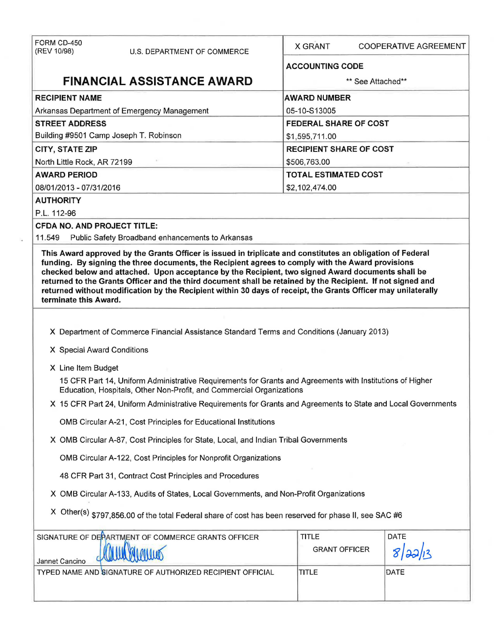| FORM CD-450<br>(REV 10/98)                                                                                                                                                                                                                                                                                                                                                                                                                                      | U.S. DEPARTMENT OF COMMERCE                               | <b>X GRANT</b>                 | <b>COOPERATIVE AGREEMENT</b> |  |  |  |
|-----------------------------------------------------------------------------------------------------------------------------------------------------------------------------------------------------------------------------------------------------------------------------------------------------------------------------------------------------------------------------------------------------------------------------------------------------------------|-----------------------------------------------------------|--------------------------------|------------------------------|--|--|--|
|                                                                                                                                                                                                                                                                                                                                                                                                                                                                 |                                                           | <b>ACCOUNTING CODE</b>         |                              |  |  |  |
|                                                                                                                                                                                                                                                                                                                                                                                                                                                                 | <b>FINANCIAL ASSISTANCE AWARD</b>                         |                                | ** See Attached**            |  |  |  |
| <b>RECIPIENT NAME</b>                                                                                                                                                                                                                                                                                                                                                                                                                                           |                                                           | <b>AWARD NUMBER</b>            |                              |  |  |  |
| Arkansas Department of Emergency Management                                                                                                                                                                                                                                                                                                                                                                                                                     |                                                           | 05-10-S13005                   |                              |  |  |  |
| <b>STREET ADDRESS</b>                                                                                                                                                                                                                                                                                                                                                                                                                                           |                                                           | <b>FEDERAL SHARE OF COST</b>   |                              |  |  |  |
| Building #9501 Camp Joseph T. Robinson                                                                                                                                                                                                                                                                                                                                                                                                                          |                                                           | \$1,595,711.00                 |                              |  |  |  |
| <b>CITY, STATE ZIP</b>                                                                                                                                                                                                                                                                                                                                                                                                                                          |                                                           | <b>RECIPIENT SHARE OF COST</b> |                              |  |  |  |
| North Little Rock, AR 72199                                                                                                                                                                                                                                                                                                                                                                                                                                     |                                                           | \$506,763.00                   |                              |  |  |  |
| <b>AWARD PERIOD</b>                                                                                                                                                                                                                                                                                                                                                                                                                                             |                                                           | <b>TOTAL ESTIMATED COST</b>    |                              |  |  |  |
| 08/01/2013 - 07/31/2016                                                                                                                                                                                                                                                                                                                                                                                                                                         |                                                           | \$2,102,474.00                 |                              |  |  |  |
| <b>AUTHORITY</b>                                                                                                                                                                                                                                                                                                                                                                                                                                                |                                                           |                                |                              |  |  |  |
| P.L. 112-96                                                                                                                                                                                                                                                                                                                                                                                                                                                     |                                                           |                                |                              |  |  |  |
| <b>CFDA NO. AND PROJECT TITLE:</b>                                                                                                                                                                                                                                                                                                                                                                                                                              |                                                           |                                |                              |  |  |  |
| 11.549                                                                                                                                                                                                                                                                                                                                                                                                                                                          | Public Safety Broadband enhancements to Arkansas          |                                |                              |  |  |  |
| funding. By signing the three documents, the Recipient agrees to comply with the Award provisions<br>checked below and attached. Upon acceptance by the Recipient, two signed Award documents shall be<br>returned to the Grants Officer and the third document shall be retained by the Recipient. If not signed and<br>returned without modification by the Recipient within 30 days of receipt, the Grants Officer may unilaterally<br>terminate this Award. |                                                           |                                |                              |  |  |  |
| X Department of Commerce Financial Assistance Standard Terms and Conditions (January 2013)<br>X Special Award Conditions                                                                                                                                                                                                                                                                                                                                        |                                                           |                                |                              |  |  |  |
|                                                                                                                                                                                                                                                                                                                                                                                                                                                                 |                                                           |                                |                              |  |  |  |
| X Line Item Budget<br>15 CFR Part 14, Uniform Administrative Requirements for Grants and Agreements with Institutions of Higher<br>Education, Hospitals, Other Non-Profit, and Commercial Organizations                                                                                                                                                                                                                                                         |                                                           |                                |                              |  |  |  |
| X 15 CFR Part 24, Uniform Administrative Requirements for Grants and Agreements to State and Local Governments                                                                                                                                                                                                                                                                                                                                                  |                                                           |                                |                              |  |  |  |
| OMB Circular A-21, Cost Principles for Educational Institutions                                                                                                                                                                                                                                                                                                                                                                                                 |                                                           |                                |                              |  |  |  |
| X OMB Circular A-87, Cost Principles for State, Local, and Indian Tribal Governments                                                                                                                                                                                                                                                                                                                                                                            |                                                           |                                |                              |  |  |  |
| OMB Circular A-122, Cost Principles for Nonprofit Organizations                                                                                                                                                                                                                                                                                                                                                                                                 |                                                           |                                |                              |  |  |  |
| 48 CFR Part 31, Contract Cost Principles and Procedures                                                                                                                                                                                                                                                                                                                                                                                                         |                                                           |                                |                              |  |  |  |
| X OMB Circular A-133, Audits of States, Local Governments, and Non-Profit Organizations                                                                                                                                                                                                                                                                                                                                                                         |                                                           |                                |                              |  |  |  |
| X Other(s) \$797,856.00 of the total Federal share of cost has been reserved for phase II, see SAC #6                                                                                                                                                                                                                                                                                                                                                           |                                                           |                                |                              |  |  |  |
|                                                                                                                                                                                                                                                                                                                                                                                                                                                                 | SIGNATURE OF DEPARTMENT OF COMMERCE GRANTS OFFICER        | <b>TITLE</b>                   | DATE                         |  |  |  |
| Jannet Cancino                                                                                                                                                                                                                                                                                                                                                                                                                                                  |                                                           | <b>GRANT OFFICER</b>           | 8 32 13                      |  |  |  |
|                                                                                                                                                                                                                                                                                                                                                                                                                                                                 | TYPED NAME AND SIGNATURE OF AUTHORIZED RECIPIENT OFFICIAL | <b>TITLE</b>                   | <b>DATE</b>                  |  |  |  |
|                                                                                                                                                                                                                                                                                                                                                                                                                                                                 |                                                           |                                |                              |  |  |  |